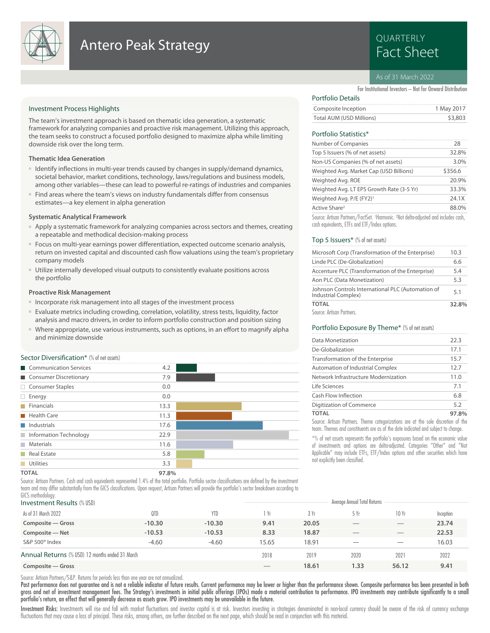

## **Antero Peak Strategy Example 2018 Research Antero Peak Strategy**

# QUARTERLY

### As of 31 March 2022

For Institutional Investors – Not for Onward Distribution

### Investment Process Highlights

The team's investment approach is based on thematic idea generation, a systematic framework for analyzing companies and proactive risk management. Utilizing this approach, the team seeks to construct a focused portfolio designed to maximize alpha while limiting downside risk over the long term.

### **Thematic Idea Generation**

- Identify inflections in multi-year trends caused by changes in supply/demand dynamics, societal behavior, market conditions, technology, laws/regulations and business models, among other variables—these can lead to powerful re-ratings of industries and companies
- Find areas where the team's views on industry fundamentals differ from consensus estimates—a key element in alpha generation

### **Systematic Analytical Framework**

- Apply a systematic framework for analyzing companies across sectors and themes, creating a repeatable and methodical decision-making process
- Focus on multi-year earnings power differentiation, expected outcome scenario analysis, return on invested capital and discounted cash flow valuations using the team's proprietary company models
- Utilize internally developed visual outputs to consistently evaluate positions across the portfolio

### **Proactive Risk Management**

- Incorporate risk management into all stages of the investment process
- Evaluate metrics including crowding, correlation, volatility, stress tests, liquidity, factor analysis and macro drivers, in order to inform portfolio construction and position sizing
- Where appropriate, use various instruments, such as options, in an effort to magnify alpha and minimize downside

### Sector Diversification<sup>\*</sup> (% of net assets)

| Communication Services    | 4.2   |  |
|---------------------------|-------|--|
| Consumer Discretionary    | 7.9   |  |
| □ Consumer Staples        | 0.0   |  |
| $\Box$ Energy             | 0.0   |  |
| $\blacksquare$ Financials | 13.3  |  |
| Health Care               | 11.3  |  |
| Industrials               | 17.6  |  |
| Information Technology    | 22.9  |  |
| <b>Materials</b>          | 11.6  |  |
| Real Estate               | 5.8   |  |
| Utilities                 | 3.3   |  |
| <b>TOTAL</b>              | 97.8% |  |

Source: Artisan Partners. Cash and cash equivalents represented 1.4% of the total portfolio. Portfolio sector classifications are defined by the investment team and may differ substantially from the GICS classifications. Upon request, Artisan Partners will provide the portfolio's sector breakdown according to GICS methodology

| 1.10111011010101111<br><b>Investment Results (% USD)</b> |          |          |       |       | Average Annual Total Returns |       |           |  |
|----------------------------------------------------------|----------|----------|-------|-------|------------------------------|-------|-----------|--|
| As of 31 March 2022                                      | QTD      | YTD      | Yr    | 3Yr   | 5 Yr                         | 10 Yr | Inception |  |
| Composite - Gross                                        | $-10.30$ | $-10.30$ | 9.41  | 20.05 |                              |       | 23.74     |  |
| Composite - Net                                          | $-10.53$ | $-10.53$ | 8.33  | 18.87 |                              |       | 22.53     |  |
| S&P 500 <sup>®</sup> Index                               | $-4.60$  | $-4.60$  | 15.65 | 18.91 |                              |       | 16.03     |  |
| Annual Returns (% USD) 12 months ended 31 March          |          |          | 2018  | 2019  | 2020                         | 2021  | 2022      |  |
| Composite – Gross                                        |          |          |       | 18.61 | 1.33                         | 56.12 | 9.41      |  |

Source: Artisan Partners/S&P. Returns for periods less than one year are not annualized.

Past performance does not guarantee and is not a reliable indicator of future results. Current performance may be lower or higher than the performance shown. Composite performance has been presented in both gross and net of investment management fees. The Strategy's investments in initial public offerings (IPOs) made a material contribution to performance. IPO investments may contribute significantly to a small portfolio's return, an effect that will generally decrease as assets grow. IPO investments may be unavailable in the future.

Investment Risks: Investments will rise and fall with market fluctuations and investor capital is at risk. Investors investing in strategies denominated in non-local currency should be aware of the risk of currency exchang fluctuations that may cause a loss of principal. These risks, among others, are further described on the next page, which should be read in conjunction with this material.

### Portfolio Details

| ---------------          |            |
|--------------------------|------------|
| Composite Inception      | 1 May 2017 |
| Total AUM (USD Millions) | \$3,803    |

### Portfolio Statistics\*

| Number of Companies                                                                 | 28      |
|-------------------------------------------------------------------------------------|---------|
| Top 5 Issuers (% of net assets)                                                     | 32.8%   |
| Non-US Companies (% of net assets)                                                  | 3.0%    |
| Weighted Avg. Market Cap (USD Billions)                                             | \$356.6 |
| Weighted Avg. ROE                                                                   | 20.9%   |
| Weighted Avg. LT EPS Growth Rate (3-5 Yr)                                           | 33.3%   |
| Weighted Avg. P/E (FY2) <sup>1</sup>                                                | 24.1X   |
| Active Share <sup>2</sup>                                                           | 88.0%   |
| Source: Artisan Partners/FactSet, 1Harmonic, 2Not delta-adjusted and includes cash. |         |

Source: Artisan Partners/FactSet. <sup>1</sup>Harmonic. <sup>2</sup>Not delta-adjusted and includes cash, cash equivalents, ETFs and ETF/Index options.

### Top 5 Issuers\* (% of net assets)

| Microsoft Corp (Transformation of the Enterprise)                        | 10.3 |
|--------------------------------------------------------------------------|------|
| Linde PLC (De-Globalization)                                             | 6.6  |
| Accenture PLC (Transformation of the Enterprise)                         | 5.4  |
| Aon PLC (Data Monetization)                                              | 5.3  |
| Johnson Controls International PLC (Automation of<br>Industrial Complex) | 5.1  |
| <b>TOTAL</b>                                                             |      |
| Source: Artisan Partners.                                                |      |

### Portfolio Exposure By Theme\* (% of net assets)

| Data Monetization                                                                 | 22.3  |
|-----------------------------------------------------------------------------------|-------|
| De-Globalization                                                                  | 17.1  |
| Transformation of the Enterprise                                                  | 15.7  |
| Automation of Industrial Complex                                                  | 12.7  |
| Network Infrastructure Modernization                                              | 11.0  |
| Life Sciences                                                                     | 7.1   |
| Cash Flow Inflection                                                              | 6.8   |
| Digitization of Commerce                                                          | 5.2   |
| <b>TOTAL</b>                                                                      | 97.8% |
| Source: Artisan Partners. Theme categorizations are at the sole discretion of the |       |

team. Themes and constituents are as of the date indicated and subject to change.

\*% of net assets represents the portfolio's exposures based on the economic value of investments and options are delta-adjusted. Categories "Other" and "Not Applicable" may include ETFs, ETF/Index options and other securities which have not explicitly been classified.